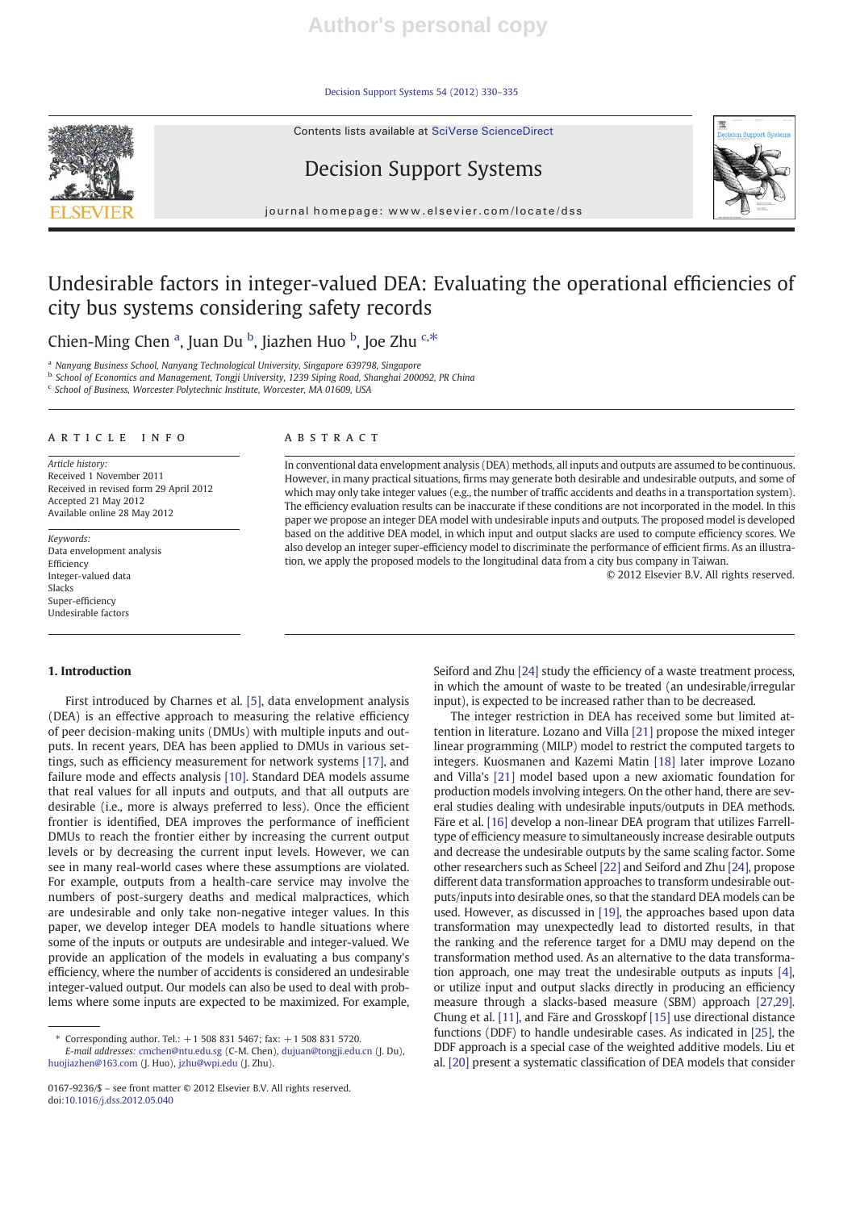Decision Support Systems 54 (2012) 330–335

Contents lists available at SciVerse ScienceDirect



Decision Support Systems



journal homepage: www.elsevier.com/locate/dss

# Undesirable factors in integer-valued DEA: Evaluating the operational efficiencies of city bus systems considering safety records

Chien-Ming Chen <sup>a</sup>, Juan Du <sup>b</sup>, Jiazhen Huo <sup>b</sup>, Joe Zhu <sup>c,\*</sup>

<sup>a</sup> Nanyang Business School, Nanyang Technological University, Singapore 639798, Singapore

**b School of Economics and Management, Tongji University, 1239 Siping Road, Shanghai 200092, PR China** 

<sup>c</sup> School of Business, Worcester Polytechnic Institute, Worcester, MA 01609, USA

#### article info abstract

Article history: Received 1 November 2011 Received in revised form 29 April 2012 Accepted 21 May 2012 Available online 28 May 2012

Keywords: Data envelopment analysis Efficiency Integer-valued data Slacks Super-efficiency Undesirable factors

# 1. Introduction

First introduced by Charnes et al. [5], data envelopment analysis (DEA) is an effective approach to measuring the relative efficiency of peer decision‐making units (DMUs) with multiple inputs and outputs. In recent years, DEA has been applied to DMUs in various settings, such as efficiency measurement for network systems [17], and failure mode and effects analysis [10]. Standard DEA models assume that real values for all inputs and outputs, and that all outputs are desirable (i.e., more is always preferred to less). Once the efficient frontier is identified, DEA improves the performance of inefficient DMUs to reach the frontier either by increasing the current output levels or by decreasing the current input levels. However, we can see in many real-world cases where these assumptions are violated. For example, outputs from a health-care service may involve the numbers of post-surgery deaths and medical malpractices, which are undesirable and only take non-negative integer values. In this paper, we develop integer DEA models to handle situations where some of the inputs or outputs are undesirable and integer-valued. We provide an application of the models in evaluating a bus company's efficiency, where the number of accidents is considered an undesirable integer-valued output. Our models can also be used to deal with problems where some inputs are expected to be maximized. For example,

⁎ Corresponding author. Tel.: +1 508 831 5467; fax: +1 508 831 5720.

E-mail addresses: cmchen@ntu.edu.sg (C-M. Chen), dujuan@tongji.edu.cn (J. Du), huojiazhen@163.com (J. Huo), jzhu@wpi.edu (J. Zhu).

In conventional data envelopment analysis (DEA) methods, all inputs and outputs are assumed to be continuous. However, in many practical situations, firms may generate both desirable and undesirable outputs, and some of which may only take integer values (e.g., the number of traffic accidents and deaths in a transportation system). The efficiency evaluation results can be inaccurate if these conditions are not incorporated in the model. In this paper we propose an integer DEA model with undesirable inputs and outputs. The proposed model is developed based on the additive DEA model, in which input and output slacks are used to compute efficiency scores. We also develop an integer super-efficiency model to discriminate the performance of efficient firms. As an illustration, we apply the proposed models to the longitudinal data from a city bus company in Taiwan.

© 2012 Elsevier B.V. All rights reserved.

Seiford and Zhu [24] study the efficiency of a waste treatment process, in which the amount of waste to be treated (an undesirable/irregular input), is expected to be increased rather than to be decreased.

The integer restriction in DEA has received some but limited attention in literature. Lozano and Villa [21] propose the mixed integer linear programming (MILP) model to restrict the computed targets to integers. Kuosmanen and Kazemi Matin [18] later improve Lozano and Villa's [21] model based upon a new axiomatic foundation for production models involving integers. On the other hand, there are several studies dealing with undesirable inputs/outputs in DEA methods. Färe et al. [16] develop a non-linear DEA program that utilizes Farrelltype of efficiency measure to simultaneously increase desirable outputs and decrease the undesirable outputs by the same scaling factor. Some other researchers such as Scheel [22] and Seiford and Zhu [24], propose different data transformation approaches to transform undesirable outputs/inputs into desirable ones, so that the standard DEA models can be used. However, as discussed in [19], the approaches based upon data transformation may unexpectedly lead to distorted results, in that the ranking and the reference target for a DMU may depend on the transformation method used. As an alternative to the data transformation approach, one may treat the undesirable outputs as inputs [4], or utilize input and output slacks directly in producing an efficiency measure through a slacks-based measure (SBM) approach [27,29]. Chung et al. [11], and Färe and Grosskopf [15] use directional distance functions (DDF) to handle undesirable cases. As indicated in [25], the DDF approach is a special case of the weighted additive models. Liu et al. [20] present a systematic classification of DEA models that consider

<sup>0167-9236/\$</sup> – see front matter © 2012 Elsevier B.V. All rights reserved. doi:10.1016/j.dss.2012.05.040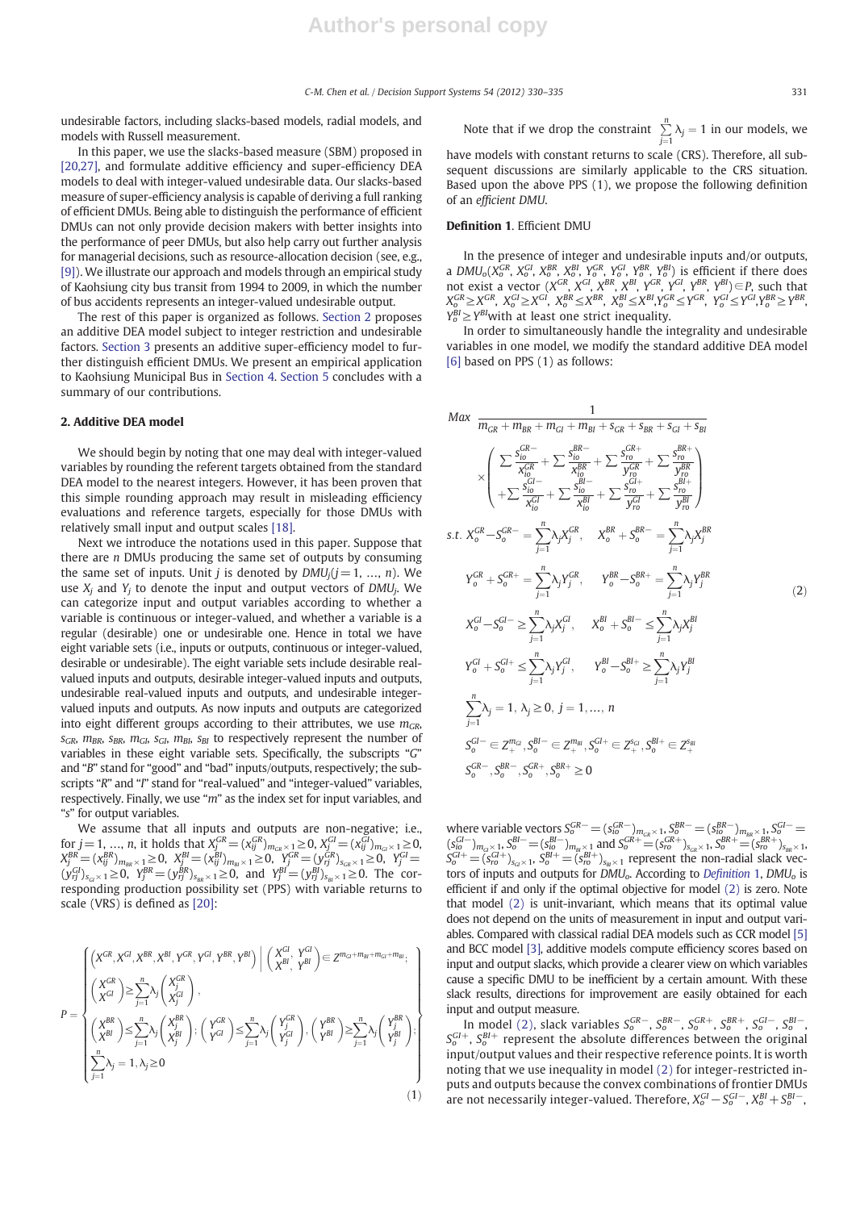undesirable factors, including slacks-based models, radial models, and models with Russell measurement.

In this paper, we use the slacks-based measure (SBM) proposed in [20,27], and formulate additive efficiency and super-efficiency DEA models to deal with integer-valued undesirable data. Our slacks-based measure of super-efficiency analysis is capable of deriving a full ranking of efficient DMUs. Being able to distinguish the performance of efficient DMUs can not only provide decision makers with better insights into the performance of peer DMUs, but also help carry out further analysis for managerial decisions, such as resource-allocation decision (see, e.g., [9]). We illustrate our approach and models through an empirical study of Kaohsiung city bus transit from 1994 to 2009, in which the number of bus accidents represents an integer-valued undesirable output.

The rest of this paper is organized as follows. Section 2 proposes an additive DEA model subject to integer restriction and undesirable factors. Section 3 presents an additive super-efficiency model to further distinguish efficient DMUs. We present an empirical application to Kaohsiung Municipal Bus in Section 4. Section 5 concludes with a summary of our contributions.

### 2. Additive DEA model

We should begin by noting that one may deal with integer-valued variables by rounding the referent targets obtained from the standard DEA model to the nearest integers. However, it has been proven that this simple rounding approach may result in misleading efficiency evaluations and reference targets, especially for those DMUs with relatively small input and output scales [18].

Next we introduce the notations used in this paper. Suppose that there are n DMUs producing the same set of outputs by consuming the same set of inputs. Unit *j* is denoted by  $DMU<sub>i</sub>(j=1, ..., n)$ . We use  $X_i$  and  $Y_i$  to denote the input and output vectors of DMU<sub>i</sub>. We can categorize input and output variables according to whether a variable is continuous or integer-valued, and whether a variable is a regular (desirable) one or undesirable one. Hence in total we have eight variable sets (i.e., inputs or outputs, continuous or integer-valued, desirable or undesirable). The eight variable sets include desirable realvalued inputs and outputs, desirable integer-valued inputs and outputs, undesirable real-valued inputs and outputs, and undesirable integervalued inputs and outputs. As now inputs and outputs are categorized into eight different groups according to their attributes, we use  $m_{GR}$ ,  $S_{GR}$ ,  $m_{BR}$ ,  $S_{BR}$ ,  $m_{GI}$ ,  $S_{GI}$ ,  $m_{BI}$ ,  $S_{BI}$  to respectively represent the number of variables in these eight variable sets. Specifically, the subscripts "G" and "B" stand for "good" and "bad" inputs/outputs, respectively; the subscripts "R" and "I" stand for "real-valued" and "integer-valued" variables, respectively. Finally, we use "m" as the index set for input variables, and "s" for output variables.

We assume that all inputs and outputs are non-negative; i.e., for  $j = 1, ..., n$ , it holds that  $X_j^{GR} = (x_{ij}^{GR})_{m_{GR} \times 1} \ge 0$ ,  $X_j^{GI} = (x_{ij}^{GI})_{m_{GI} \times 1} \ge 0$ ,  $X_j^{BR} = (x_{ij}^{BR})_{m_{BR} \times 1} \geq 0$ ,  $X_{j}^{BI} = (x_{ij}^{BI})_{m_{BI} \times 1} \geq 0$ ,  $Y_j^{GR} = (y_{ij}^{GR})_{s_{GR} \times 1} \geq 0$ ,  $Y_j^{GI} = 0$  $(y_{rj}^{GI})_{s_{GI} \times 1} \ge 0$ ,  $Y_j^{BR} = (y_{rj}^{BR})_{s_{BR} \times 1} \ge 0$ , and  $Y_j^{BI} = (y_{rj}^{BI})_{s_{BI} \times 1} \ge 0$ . The corresponding production possibility set (PPS) with variable returns to scale (VRS) is defined as [20]:

$$
P = \begin{cases} \left(X^{GR}, X^{GI}, X^{BR}, X^{BI}, Y^{GR}, Y^{GI}, Y^{BR}, Y^{BI}\right) \mid \left(\begin{array}{c} X^{GI}, Y^{GI}, \\ X^{BI}, Y^{BI}\end{array}\right) \in Z^{m_{GI} + m_{BI} + m_{GI} + m_{BI}}; \\ \left(\begin{array}{c} X^{GR}, \\ X^{GI}\end{array}\right) \ge \sum_{j=1}^{n} \lambda_j \left(\begin{array}{c} X_j^{GR}, \\ X_j^{SI}\end{array}\right); \\ \left(\begin{array}{c} X^{BR}, \\ X^{BI}\end{array}\right) \le \sum_{j=1}^{n} \lambda_j \left(\begin{array}{c} X_j^{BR}, \\ X_j^{BI}\end{array}\right); \\ \left(\begin{array}{c} Y^{GR}, \\ Y^{GI}\end{array}\right) \le \sum_{j=1}^{n} \lambda_j \left(\begin{array}{c} Y_j^{GR}, \\ Y_j^{GI}\end{array}\right); \\ \left(\begin{array}{c} Y_j^{BR}, \\ Y^{BI}\end{array}\right) \ge \sum_{j=1}^{n} \lambda_j \left(\begin{array}{c} Y_j^{BR}, \\ Y_j^{BI}\end{array}\right); \\ \left(\begin{array}{c} \sum_{j=1}^{n} \lambda_j = 1, \lambda_j \ge 0 \end{array}\right) \end{cases} \tag{1}
$$

Note that if we drop the constraint  $\sum_{n=1}^{\infty}$  $\sum_{j=1} \lambda_j = 1$  in our models, we have models with constant returns to scale (CRS). Therefore, all subsequent discussions are similarly applicable to the CRS situation. Based upon the above PPS (1), we propose the following definition of an efficient DMU.

# Definition 1. Efficient DMU

In the presence of integer and undesirable inputs and/or outputs, a  $DMU_o(X_o^{GR}, X_o^{GI}, X_o^{BR}, X_o^{BI}, Y_o^{GR}, Y_o^{GI}, Y_o^{BR}, Y_o^{BI})$  is efficient if there does not exist a vector ( $X^{GR}$ ,  $X^{GI}$ ,  $X^{BR}$ ,  $X^{BI}$ ,  $Y^{GR}$ ,  $Y^{GI}$ ,  $Y^{BR}$ ,  $Y^{BI}$ ) $\in$  P, such that  $X_0^{GR} \geq X^{GR}, X_0^{GI} \geq X^{GI}, X_0^{BR} \leq X^{BR}, X_0^{BI} \leq X^{BI}, Y_0^{GR} \leq Y^{GR}, Y_0^{GI} \leq Y^{GI}, Y_0^{BR} \geq Y^{BR},$  $Y_o^{BI} \ge Y^{BI}$  with at least one strict inequality.

In order to simultaneously handle the integrality and undesirable variables in one model, we modify the standard additive DEA model [6] based on PPS (1) as follows:

$$
Max \frac{1}{m_{GR} + m_{BR} + m_{GI} + m_{BI} + s_{GR} + s_{BR} + s_{GI} + s_{BI}}
$$
\n
$$
\times \left( \frac{\sum \frac{S_{io}^{GR-}}{X_{io}^{GR}} + \sum \frac{S_{io}^{BR-}}{X_{io}^{R}} + \sum \frac{S_{ro}^{GR+}}{y_{ro}^{GR}} + \sum \frac{S_{ro}^{BR+}}{y_{ro}^{R}}}{y_{ro}^{R}} + \sum \frac{S_{ro}^{SI-}}{y_{ro}^{SI}} + \sum \frac{S_{ro}^{SI-}}{y_{ro}^{SI}} + \sum \frac{S_{ro}^{SI+}}{y_{ro}^{R}} \right)
$$
\n
$$
s.t. \quad X_{o}^{GR} - S_{o}^{GR-} = \sum_{j=1}^{n} \lambda_{j} X_{j}^{GR}, \quad X_{o}^{BR} + S_{o}^{BR-} = \sum_{j=1}^{n} \lambda_{j} X_{j}^{BR}
$$
\n
$$
Y_{o}^{GR} + S_{o}^{GR+} = \sum_{j=1}^{n} \lambda_{j} Y_{j}^{GR}, \quad Y_{o}^{BR} - S_{o}^{BR+} = \sum_{j=1}^{n} \lambda_{j} Y_{j}^{BR}
$$
\n
$$
X_{o}^{GI} - S_{o}^{GI-} \ge \sum_{j=1}^{n} \lambda_{j} X_{j}^{GI}, \quad X_{o}^{BI} + S_{o}^{BI-} \le \sum_{j=1}^{n} \lambda_{j} X_{j}^{BI}
$$
\n
$$
Y_{o}^{GI} + S_{o}^{GI+} \le \sum_{j=1}^{n} \lambda_{j} Y_{j}^{GI}, \quad Y_{o}^{BI} - S_{o}^{BI+} \ge \sum_{j=1}^{n} \lambda_{j} Y_{j}^{BI}
$$
\n
$$
\sum_{j=1}^{n} \lambda_{j} = 1, \quad \lambda_{j} \ge 0, \quad j = 1, ..., n
$$
\n
$$
S_{o}^{GI-} \in Z_{+}^{m_{GI}}, S_{o}^{SI-} \in Z_{+}^{m_{BI}}, S_{o}^{GI+} \in Z_{+}^{s_{GI}}, S_{o}^{BI+} \in Z_{+}^{s_{BI}}
$$
\n
$$
S_{o}^{GR-}, S_{o}^{BR-}, S_{o}^{GR+}, S_{o
$$

where variable vectors  $S_0^{GR-} = (S_{io}^{GR-})_{m_{GR} \times 1}, S_0^{BR-} = (S_{io}^{BR-})_{m_{BR} \times 1}, S_0^{GI-} =$  $(S_{io}^{GI-})_{m_G\times 1}, S_{o}^{BI-}=(S_{io}^{BI-})_{m_{BI}\times 1}$  and  $S_{o}^{GR+}=(S_{ro}^{GR+})_{S_{GR}\times 1}, S_{o}^{BR+}=(S_{ro}^{BR+})_{S_{BR}\times 1}$  $S_0^{GI+} = (S_{ro}^{GI+})_{s_{GI} \times 1}$ ,  $S_0^{BI+} = (S_{ro}^{BI+})_{s_{BI} \times 1}$  represent the non-radial slack vectors of inputs and outputs for  $\ddot{DM}U_0$ . According to Definition 1, DMU<sub>0</sub> is efficient if and only if the optimal objective for model (2) is zero. Note that model (2) is unit-invariant, which means that its optimal value does not depend on the units of measurement in input and output variables. Compared with classical radial DEA models such as CCR model [5] and BCC model [3], additive models compute efficiency scores based on input and output slacks, which provide a clearer view on which variables cause a specific DMU to be inefficient by a certain amount. With these slack results, directions for improvement are easily obtained for each input and output measure.

In model (2), slack variables  $S_0^{GR-}$ ,  $S_0^{BR-}$ ,  $S_0^{GR+}$ ,  $S_0^{BR+}$ ,  $S_0^{GI-}$ ,  $S_0^{BI-}$ ,  $S_0^{GI+}$ ,  $S_0^{BI+}$  represent the absolute differences between the original input/output values and their respective reference points. It is worth noting that we use inequality in model (2) for integer-restricted inputs and outputs because the convex combinations of frontier DMUs are not necessarily integer-valued. Therefore,  $X_0^{GI} - S_0^{GI} - X_0^{BI} + S_0^{BI}$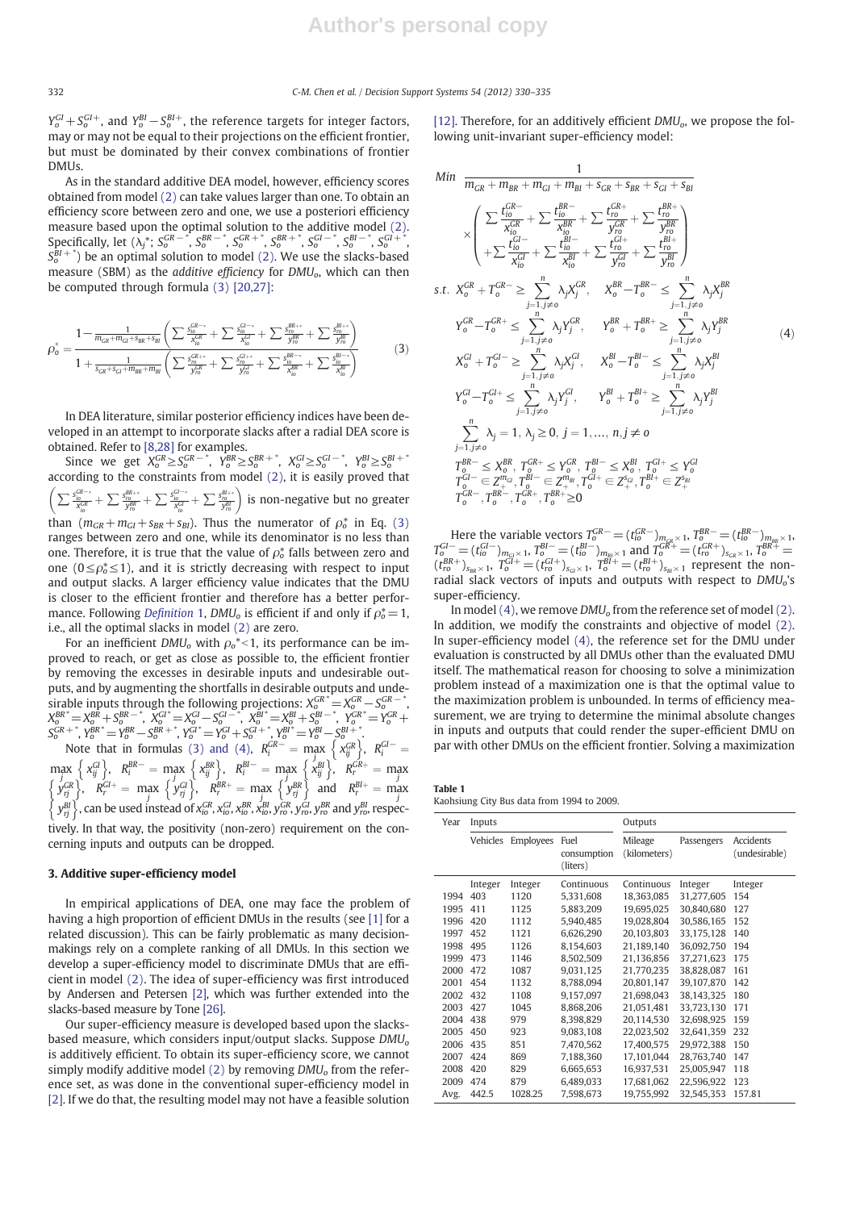$Y_o^{GI}+S_o^{GI+}$ , and  $Y_o^{BI}-S_o^{BI+}$ , the reference targets for integer factors, may or may not be equal to their projections on the efficient frontier, but must be dominated by their convex combinations of frontier DMUs.

As in the standard additive DEA model, however, efficiency scores obtained from model (2) can take values larger than one. To obtain an efficiency score between zero and one, we use a posteriori efficiency measure based upon the optimal solution to the additive model (2). Specifically, let  $(\lambda_j^*;S^{GR-^*}_{o},S^{BR-^*}_{o},S^{GR+^*}_{o},S^{BR+^*}_{o},S^{GI-^*}_{o},S^{BI-^*}_{o},S^{GI+^*}_{o},$  $S_0^{BI + *}$ ) be an optimal solution to model (2). We use the slacks-based measure (SBM) as the *additive efficiency* for  $DMU<sub>o</sub>$ , which can then be computed through formula (3) [20,27]:

$$
\rho_{o}^{*} = \frac{1 - \frac{1}{m_{GR} + m_{GI} + s_{BR} + s_{BI}} \left( \sum \frac{s_{io}^{GR-*}}{x_{io}^{GR}} + \sum \frac{s_{io}^{GR-*}}{x_{io}^{GR}} + \sum \frac{s_{no}^{BR-*}}{y_{ro}^{R R}} + \sum \frac{s_{no}^{Rt-*}}{y_{ro}^{R R}} \right)}{1 + \frac{1}{s_{GR} + s_{GI} + m_{BR} + m_{BI}} \left( \sum \frac{s_{io}^{GR+*}}{y_{ro}^{GR}} + \sum \frac{s_{io}^{GR-*}}{y_{ro}^{GR}} + \sum \frac{s_{io}^{BR-*}}{x_{io}^{R R}} + \sum \frac{s_{io}^{Rt-*}}{x_{io}^{R R}} \right)}
$$
(3)

In DEA literature, similar posterior efficiency indices have been developed in an attempt to incorporate slacks after a radial DEA score is obtained. Refer to [8,28] for examples.

Since we get  $X^{GR}_o \geq S^{GR-^*}_o$ ,  $Y^{BR}_o \geq S^{BR+^*}_o$ ,  $X^{GI}_o \geq S^{GI-^*}_o$ ,  $Y^{BI}_o \geq S^{BI+^*}_o$ according to the constraints from model (2), it is easily proved that  $\left(\sum \frac{S_B^{GR-*}}{X_B^{GR}}+\sum \frac{S_B^{R++}}{Y_B^{RG}}+\sum \frac{S_B^{Gl}+*}{X_B^{G}}\right)$  is non-negative but no greater than  $(m_{GR}+m_{GI}+s_{BR}+s_{BI})$ . Thus the numerator of  $\rho_o^*$  in Eq. (3) ranges between zero and one, while its denominator is no less than one. Therefore, it is true that the value of  $\rho_0^*$  falls between zero and one ( $0 \le \rho_0^* \le 1$ ), and it is strictly decreasing with respect to input and output slacks. A larger efficiency value indicates that the DMU is closer to the efficient frontier and therefore has a better performance. Following Definition 1, DMU<sub>o</sub> is efficient if and only if  $\rho_o^* = 1$ , i.e., all the optimal slacks in model (2) are zero.

For an inefficient  $DMU_0$  with  $\rho_0^*$  < 1, its performance can be improved to reach, or get as close as possible to, the efficient frontier by removing the excesses in desirable inputs and undesirable outputs, and by augmenting the shortfalls in desirable outputs and undesirable inputs through the following projections:  $X_o^{GR*} = X_o^{GR} - S_o^{GR-*}$ ,  $X_0^{BR^*} = X_0^{BR} + S_0^{BR}$ <sup>-\*</sup>,  $X_0^{GI^*} = X_0^{GI} - S_0^{GI^{-*}}$ ,  $X_0^{BI^*} = X_0^{BI} + S_0^{BI-}$ <sup>\*</sup>,  $Y_0^{GR^*} = Y_0^{GR} + Y_0^{GR}$  $S_0^{GR + *}, Y_0^{BR *}=Y_0^{BR}-S_0^{BR + *}, Y_0^{GI *}=Y_0^{GI}+S_0^{GI + *}, Y_0^{BI *}=Y_0^{BI}-S_0^{BI + *}.$ Note that in formulas (3) and (4),  $R_i^{GR-} = \max_{i} \left\{ x_{ij}^{GR} \right\}, R_i^{GI-} =$ 

 $\max_{i,j} \left\{ x_{ij}^{GI} \right\}, \quad R_i^{BR-} = \max_{i,j} \left\{ x_{ij}^{BR} \right\}, \quad R_i^{BI-} = \max_{i,j} \left\{ x_{ij}^{BI} \right\}, \quad R_r^{GR+} = \max_{j} \left\{ x_{ij}^{BI} \right\}.$  $\left\{\begin{array}{c} y_{rj}^{GR} \end{array}\right\}, \quad R_r^{GI+} = \max_j \left\{\begin{array}{c} y_{rj}^{GI} \end{array}\right\}, \quad R_r^{BR+} = \max_j \left\{\begin{array}{c} y_{rj}^{BR} \end{array}\right\} \quad \text{and} \quad R_r^{BI+} = \max_j \left\{\begin{array}{c} y_{rj}^{BI+} \end{array}\right\}.$  $\left\{y_{rj}^{BI}\right\}$ , can be used instead of  $x_{io}^{GR}, x_{io}^{GI}, x_{io}^{BR}, x_{io}^{BI}, y_{ro}^{GR}, y_{ro}^{GI}, y_{ro}^{BR}$  and  $y_{ro}^{BI}$ , respectively. In that way, the positivity (non-zero) requirement on the concerning inputs and outputs can be dropped.

# 3. Additive super-efficiency model

In empirical applications of DEA, one may face the problem of having a high proportion of efficient DMUs in the results (see [1] for a related discussion). This can be fairly problematic as many decisionmakings rely on a complete ranking of all DMUs. In this section we develop a super-efficiency model to discriminate DMUs that are efficient in model (2). The idea of super-efficiency was first introduced by Andersen and Petersen [2], which was further extended into the slacks-based measure by Tone [26].

Our super-efficiency measure is developed based upon the slacksbased measure, which considers input/output slacks. Suppose  $DMU<sub>o</sub>$ is additively efficient. To obtain its super-efficiency score, we cannot simply modify additive model (2) by removing  $DMU<sub>o</sub>$  from the reference set, as was done in the conventional super-efficiency model in [2]. If we do that, the resulting model may not have a feasible solution [12]. Therefore, for an additively efficient  $DMU<sub>o</sub>$ , we propose the following unit-invariant super-efficiency model:

Min 
$$
\frac{1}{m_{GR} + m_{BR} + m_{GI} + m_{BI} + s_{GR} + s_{BR} + s_{GI} + s_{BI}}
$$
  
\n
$$
\times \left( \sum \frac{t_{io}^{GR-}}{x_{io}^{GR}} + \sum \frac{t_{io}^{BR-}}{x_{io}^{Ra}} + \sum \frac{t_{io}^{GR+}}{y_{ro}^{GR}} + \sum \frac{t_{ro}^{BR+}}{y_{ro}^{Ra}} \right)
$$
\n
$$
+ \sum \frac{t_{io}^{GI-}}{x_{io}^{GI}} + \sum \frac{t_{io}^{BI-}}{x_{io}^{BI}} + \sum \frac{t_{ro}^{GI+}}{y_{ro}^{GI}} + \sum \frac{t_{ro}^{BI+}}{y_{ro}^{H}} \right)
$$
\ns.t.  $X_{o}^{GR} + T_{o}^{GR-} \ge \sum_{j=1, j\neq o}^{n} \lambda_{j} X_{j}^{GR}, \quad X_{o}^{BR} - T_{o}^{BR-} \le \sum_{j=1, j\neq o}^{n} \lambda_{j} X_{j}^{BR}$   
\n
$$
Y_{o}^{GR} - T_{o}^{GR+} \le \sum_{j=1, j\neq o}^{n} \lambda_{j} Y_{j}^{GR}, \quad Y_{o}^{BR} + T_{o}^{BR-} \ge \sum_{j=1, j\neq o}^{n} \lambda_{j} Y_{j}^{BR}
$$
\n
$$
X_{o}^{GI} + T_{o}^{GI-} \ge \sum_{j=1, j\neq o}^{n} \lambda_{j} X_{j}^{GI}, \quad X_{o}^{BI} - T_{o}^{BI-} \le \sum_{j=1, j\neq o}^{n} \lambda_{j} X_{j}^{BI}
$$
\n
$$
Y_{o}^{GI} - T_{o}^{GI+} \le \sum_{j=1, j\neq o}^{n} \lambda_{j} Y_{j}^{GI}, \quad Y_{o}^{BI} + T_{o}^{BI+} \ge \sum_{j=1, j\neq o}^{n} \lambda_{j} Y_{j}^{BI}
$$
\n
$$
\sum_{j=1, j\neq o}^{n} \lambda_{j} = 1, \lambda_{j} \ge 0, j = 1, ..., n, j \neq o
$$
\n
$$
T_{o}^{BR-} \le X_{o}^{BR}, T_{o}^{GR+} \le Y_{o}^{GR}, T
$$

Here the variable vectors  $T_o^{GR-} = (t_{io}^{GR-})_{m_{GR} \times 1}$ ,  $T_o^{BR-} = (t_{io}^{BR-})_{m_{BR} \times 1}$  $T_0^{GI-} = (t_{io}^{GI-})_{m_{GI} \times 1}$ ,  $T_0^{BI-} = (t_{io}^{BI-})_{m_{BI} \times 1}$  and  $T_0^{GR+} = (t_{ro}^{GR+})_{s_{GR} \times 1}$ ,  $T_0^{BR+} =$  $(t_{ro}^{BR+})_{s_{BR}\times 1}$ ,  $T_{o}^{GI+} = (t_{ro}^{GI+})_{s_{GI}\times 1}$ ,  $T_{o}^{BI+} = (t_{ro}^{BI+})_{s_{BI}\times 1}$  represent the nonradial slack vectors of inputs and outputs with respect to  $DMU<sub>o</sub>'s$ super-efficiency.

In model  $(4)$ , we remove  $DMU<sub>o</sub>$  from the reference set of model  $(2)$ . In addition, we modify the constraints and objective of model (2). In super-efficiency model (4), the reference set for the DMU under evaluation is constructed by all DMUs other than the evaluated DMU itself. The mathematical reason for choosing to solve a minimization problem instead of a maximization one is that the optimal value to the maximization problem is unbounded. In terms of efficiency measurement, we are trying to determine the minimal absolute changes in inputs and outputs that could render the super-efficient DMU on par with other DMUs on the efficient frontier. Solving a maximization

Table 1

Kaohsiung City Bus data from 1994 to 2009.

| Year | Inputs   |           |                                 | Outputs                 |            |                            |  |
|------|----------|-----------|---------------------------------|-------------------------|------------|----------------------------|--|
|      | Vehicles | Employees | Fuel<br>consumption<br>(liters) | Mileage<br>(kilometers) | Passengers | Accidents<br>(undesirable) |  |
|      | Integer  | Integer   | Continuous                      | Continuous              | Integer    | Integer                    |  |
| 1994 | 403      | 1120      | 5,331,608                       | 18,363,085              | 31,277,605 | 154                        |  |
| 1995 | 411      | 1125      | 5.883.209                       | 19,695,025              | 30,840,680 | 127                        |  |
| 1996 | 420      | 1112      | 5.940.485                       | 19.028.804              | 30.586.165 | 152                        |  |
| 1997 | 452      | 1121      | 6,626,290                       | 20.103.803              | 33,175,128 | 140                        |  |
| 1998 | 495      | 1126      | 8,154,603                       | 21,189,140              | 36,092,750 | 194                        |  |
| 1999 | 473      | 1146      | 8,502,509                       | 21,136,856              | 37,271,623 | 175                        |  |
| 2000 | 472      | 1087      | 9,031,125                       | 21,770,235              | 38,828,087 | 161                        |  |
| 2001 | 454      | 1132      | 8,788,094                       | 20,801,147              | 39,107,870 | 142                        |  |
| 2002 | 432      | 1108      | 9.157.097                       | 21.698.043              | 38.143.325 | 180                        |  |
| 2003 | 427      | 1045      | 8,868,206                       | 21,051,481              | 33,723,130 | 171                        |  |
| 2004 | 438      | 979       | 8,398,829                       | 20,114,530              | 32,698,925 | 159                        |  |
| 2005 | 450      | 923       | 9,083,108                       | 22,023,502              | 32,641,359 | 232                        |  |
| 2006 | 435      | 851       | 7,470,562                       | 17,400,575              | 29,972,388 | 150                        |  |
| 2007 | 424      | 869       | 7,188,360                       | 17,101,044              | 28,763,740 | 147                        |  |
| 2008 | 420      | 829       | 6,665,653                       | 16,937,531              | 25,005,947 | 118                        |  |
| 2009 | 474      | 879       | 6,489,033                       | 17,681,062              | 22,596,922 | 123                        |  |
| Avg. | 442.5    | 1028.25   | 7,598,673                       | 19,755,992              | 32,545,353 | 157.81                     |  |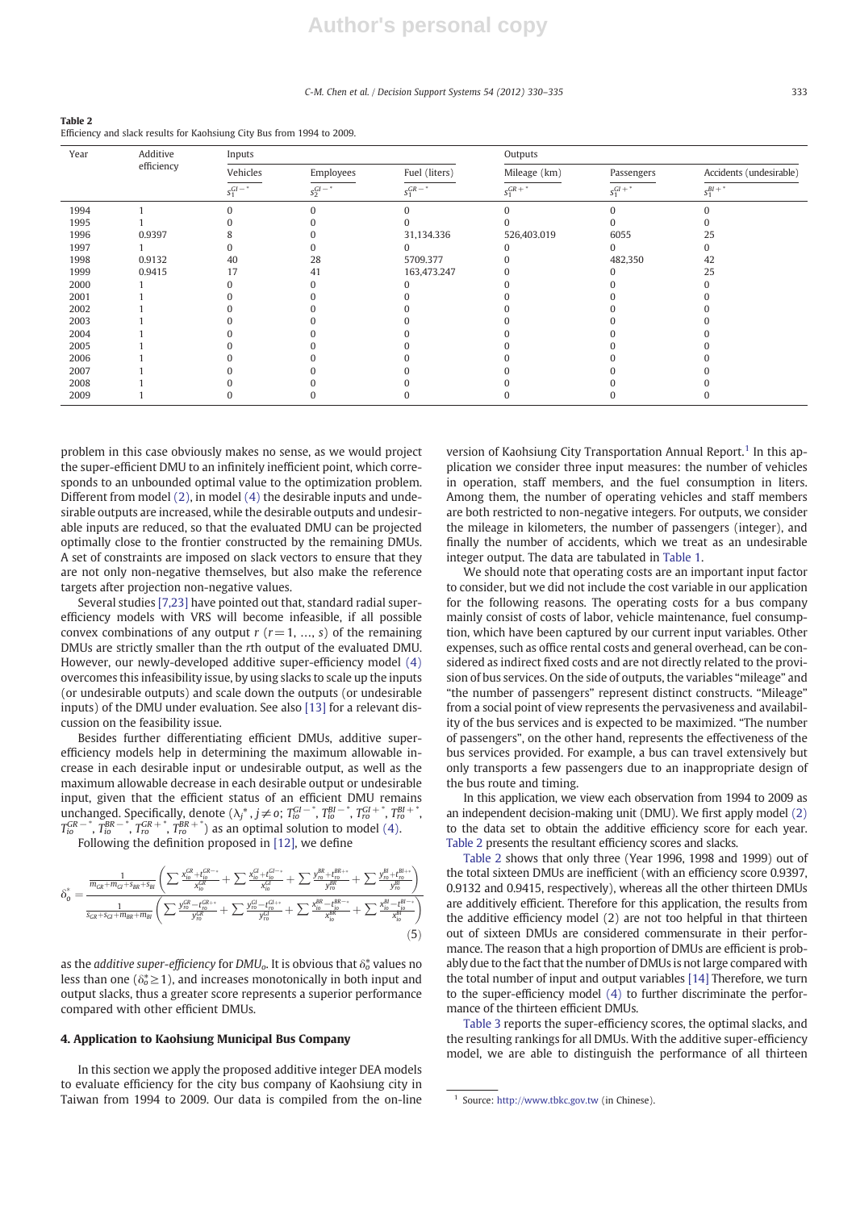#### C-M. Chen et al. / Decision Support Systems 54 (2012) 330–335 333

| Table 2                                                                |  |
|------------------------------------------------------------------------|--|
| Efficiency and slack results for Kaohsiung City Bus from 1994 to 2009. |  |

| Year | Additive<br>efficiency | Inputs                |                           |               | Outputs        |                |                         |  |
|------|------------------------|-----------------------|---------------------------|---------------|----------------|----------------|-------------------------|--|
|      |                        | Vehicles<br>Employees |                           | Fuel (liters) | Mileage (km)   | Passengers     | Accidents (undesirable) |  |
|      |                        | $s_1^{GI-}$           | $s_2$ <sub>GI</sub> $-$ * | $s_1^{GR-}$ * | $S_1^{GR + *}$ | $s_1^{GI + *}$ | $s_1^{BI + }$           |  |
| 1994 |                        |                       |                           | $\Omega$      | $\Omega$       | $\Omega$       |                         |  |
| 1995 |                        |                       |                           |               |                |                |                         |  |
| 1996 | 0.9397                 |                       |                           | 31,134.336    | 526,403.019    | 6055           | 25                      |  |
| 1997 |                        |                       |                           |               |                | 0              |                         |  |
| 1998 | 0.9132                 | 40                    | 28                        | 5709.377      |                | 482,350        | 42                      |  |
| 1999 | 0.9415                 | 17                    | 41                        | 163,473.247   |                |                | 25                      |  |
| 2000 |                        |                       |                           |               |                |                |                         |  |
| 2001 |                        |                       |                           |               |                |                |                         |  |
| 2002 |                        |                       |                           |               |                |                |                         |  |
| 2003 |                        |                       |                           |               |                |                |                         |  |
| 2004 |                        |                       |                           |               |                |                |                         |  |
| 2005 |                        |                       |                           |               |                |                |                         |  |
| 2006 |                        |                       |                           |               |                |                |                         |  |
| 2007 |                        |                       |                           |               |                |                |                         |  |
| 2008 |                        |                       |                           |               |                |                |                         |  |
| 2009 |                        |                       |                           |               |                |                |                         |  |

problem in this case obviously makes no sense, as we would project the super-efficient DMU to an infinitely inefficient point, which corresponds to an unbounded optimal value to the optimization problem. Different from model (2), in model (4) the desirable inputs and undesirable outputs are increased, while the desirable outputs and undesirable inputs are reduced, so that the evaluated DMU can be projected optimally close to the frontier constructed by the remaining DMUs. A set of constraints are imposed on slack vectors to ensure that they are not only non-negative themselves, but also make the reference targets after projection non-negative values.

Several studies [7,23] have pointed out that, standard radial superefficiency models with VRS will become infeasible, if all possible convex combinations of any output  $r$  ( $r = 1, ..., s$ ) of the remaining DMUs are strictly smaller than the rth output of the evaluated DMU. However, our newly-developed additive super-efficiency model (4) overcomes this infeasibility issue, by using slacks to scale up the inputs (or undesirable outputs) and scale down the outputs (or undesirable inputs) of the DMU under evaluation. See also [13] for a relevant discussion on the feasibility issue.

Besides further differentiating efficient DMUs, additive superefficiency models help in determining the maximum allowable increase in each desirable input or undesirable output, as well as the maximum allowable decrease in each desirable output or undesirable input, given that the efficient status of an efficient DMU remains unchanged. Specifically, denote  $(\lambda_j^*, j \neq o; T_{io}^{GI-*}, T_{io}^{BI-*}, T_{ro}^{GI+*}, T_{ro}^{BI+*},$  $T_{io}^{GR-{*}}$ ,  $T_{io}^{BR-{*}}$ ,  $T_{ro}^{GR+*}$ ,  $T_{ro}^{BR+*}$ ) as an optimal solution to model (4).

Following the definition proposed in [12], we define

$$
\delta_{o}^{*} = \frac{\frac{1}{m_{GR} + m_{GI} + s_{BH} + s_{BI}} \left( \sum \frac{x_{io}^{GR} + t_{io}^{GR-*}}{x_{io}^{GR}} + \sum \frac{x_{io}^{GI} + t_{io}^{GI-*}}{x_{io}^{IG}} + \sum \frac{y_{ro}^{BR} + t_{io}^{BR-*}}{y_{ro}^{IR}} + \sum \frac{y_{ro}^{BI} + t_{io}^{BI'*}}{y_{ro}^{IR}} \right)}{\frac{1}{s_{GR} + s_{GI} + m_{BR} + m_{BI}} \left( \sum \frac{y_{ro}^{GR} - t_{io}^{GR-*}}{y_{ro}^{GR}} + \sum \frac{y_{ro}^{RI} - t_{io}^{GI-*}}{y_{ro}^{GI}} + \sum \frac{x_{io}^{BR} - t_{io}^{BR-*}}{x_{io}^{RR}} + \sum \frac{x_{io}^{RI} - t_{io}^{BI'*}}{x_{io}^{RI}} \right)} \tag{5}
$$

as the *additive super-efficiency* for  $DMU<sub>o</sub>$ . It is obvious that  $\delta^*_{o}$  values no less than one ( $\delta_0^* \geq 1$ ), and increases monotonically in both input and output slacks, thus a greater score represents a superior performance compared with other efficient DMUs.

# 4. Application to Kaohsiung Municipal Bus Company

In this section we apply the proposed additive integer DEA models to evaluate efficiency for the city bus company of Kaohsiung city in Taiwan from 1994 to 2009. Our data is compiled from the on-line version of Kaohsiung City Transportation Annual Report.<sup>1</sup> In this application we consider three input measures: the number of vehicles in operation, staff members, and the fuel consumption in liters. Among them, the number of operating vehicles and staff members are both restricted to non-negative integers. For outputs, we consider the mileage in kilometers, the number of passengers (integer), and finally the number of accidents, which we treat as an undesirable integer output. The data are tabulated in Table 1.

We should note that operating costs are an important input factor to consider, but we did not include the cost variable in our application for the following reasons. The operating costs for a bus company mainly consist of costs of labor, vehicle maintenance, fuel consumption, which have been captured by our current input variables. Other expenses, such as office rental costs and general overhead, can be considered as indirect fixed costs and are not directly related to the provision of bus services. On the side of outputs, the variables "mileage" and "the number of passengers" represent distinct constructs. "Mileage" from a social point of view represents the pervasiveness and availability of the bus services and is expected to be maximized. "The number of passengers", on the other hand, represents the effectiveness of the bus services provided. For example, a bus can travel extensively but only transports a few passengers due to an inappropriate design of the bus route and timing.

In this application, we view each observation from 1994 to 2009 as an independent decision-making unit (DMU). We first apply model (2) to the data set to obtain the additive efficiency score for each year. Table 2 presents the resultant efficiency scores and slacks.

Table 2 shows that only three (Year 1996, 1998 and 1999) out of the total sixteen DMUs are inefficient (with an efficiency score 0.9397, 0.9132 and 0.9415, respectively), whereas all the other thirteen DMUs are additively efficient. Therefore for this application, the results from the additive efficiency model (2) are not too helpful in that thirteen out of sixteen DMUs are considered commensurate in their performance. The reason that a high proportion of DMUs are efficient is probably due to the fact that the number of DMUs is not large compared with the total number of input and output variables [14] Therefore, we turn to the super-efficiency model (4) to further discriminate the performance of the thirteen efficient DMUs.

Table 3 reports the super-efficiency scores, the optimal slacks, and the resulting rankings for all DMUs. With the additive super-efficiency model, we are able to distinguish the performance of all thirteen

<sup>1</sup> Source: http://www.tbkc.gov.tw (in Chinese).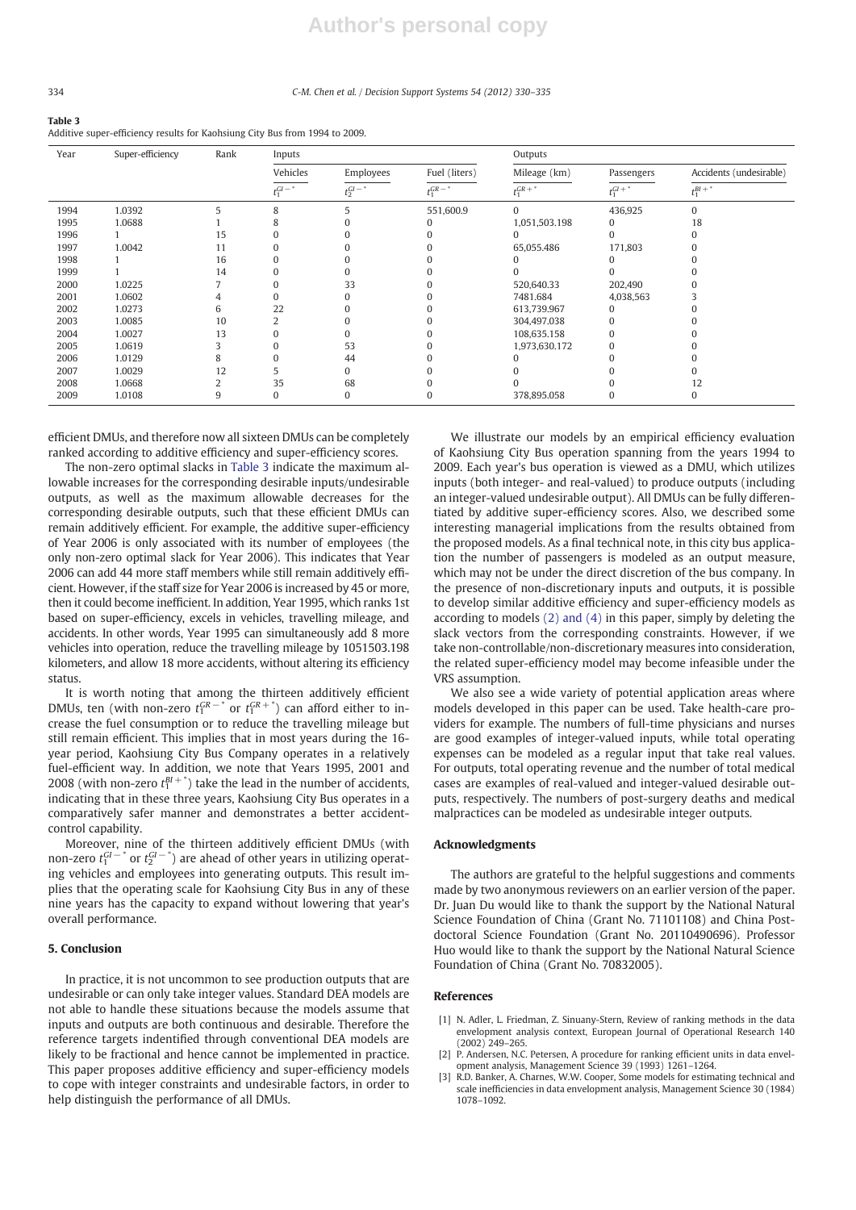#### 334 C-M. Chen et al. / Decision Support Systems 54 (2012) 330–335

| Table 3                                                                     |  |
|-----------------------------------------------------------------------------|--|
| Additive super-efficiency results for Kaohsiung City Bus from 1994 to 2009. |  |

| Year | Super-efficiency | Rank | Inputs                               |              | Outputs       |                |              |                         |
|------|------------------|------|--------------------------------------|--------------|---------------|----------------|--------------|-------------------------|
|      |                  |      | Vehicles                             | Employees    | Fuel (liters) | Mileage (km)   | Passengers   | Accidents (undesirable) |
|      |                  |      | $t_1$ <sup><math>GI - *</math></sup> | $t_2^{GI-*}$ | $t_1^{GR-}$   | $t_1^{GR + *}$ | $t_1^{GI++}$ | $t_1^{BI + *}$          |
| 1994 | 1.0392           | 5    | 8                                    |              | 551,600.9     | $\Omega$       | 436,925      |                         |
| 1995 | 1.0688           |      |                                      |              |               | 1,051,503.198  | $\Omega$     | 18                      |
| 1996 |                  | 15   |                                      |              |               |                |              |                         |
| 1997 | 1.0042           | 11   |                                      |              |               | 65,055.486     | 171,803      |                         |
| 1998 |                  | 16   |                                      |              |               |                |              |                         |
| 1999 |                  | 14   |                                      |              |               |                |              |                         |
| 2000 | 1.0225           |      |                                      | 33           |               | 520,640.33     | 202,490      |                         |
| 2001 | 1.0602           |      |                                      |              |               | 7481.684       | 4,038,563    |                         |
| 2002 | 1.0273           | 6    | 22                                   |              |               | 613,739.967    |              |                         |
| 2003 | 1.0085           | 10   |                                      |              |               | 304,497.038    |              |                         |
| 2004 | 1.0027           | 13   |                                      |              |               | 108,635.158    |              |                         |
| 2005 | 1.0619           |      |                                      | 53           |               | 1,973,630.172  |              |                         |
| 2006 | 1.0129           |      |                                      | 44           |               |                |              |                         |
| 2007 | 1.0029           | 12   |                                      | $\Omega$     |               |                |              |                         |
| 2008 | 1.0668           |      | 35                                   | 68           |               |                |              |                         |
| 2009 | 1.0108           | 9    | 0                                    | 0            |               | 378,895.058    |              |                         |

efficient DMUs, and therefore now all sixteen DMUs can be completely ranked according to additive efficiency and super-efficiency scores.

The non-zero optimal slacks in Table 3 indicate the maximum allowable increases for the corresponding desirable inputs/undesirable outputs, as well as the maximum allowable decreases for the corresponding desirable outputs, such that these efficient DMUs can remain additively efficient. For example, the additive super-efficiency of Year 2006 is only associated with its number of employees (the only non-zero optimal slack for Year 2006). This indicates that Year 2006 can add 44 more staff members while still remain additively efficient. However, if the staff size for Year 2006 is increased by 45 or more, then it could become inefficient. In addition, Year 1995, which ranks 1st based on super-efficiency, excels in vehicles, travelling mileage, and accidents. In other words, Year 1995 can simultaneously add 8 more vehicles into operation, reduce the travelling mileage by 1051503.198 kilometers, and allow 18 more accidents, without altering its efficiency status.

It is worth noting that among the thirteen additively efficient DMUs, ten (with non-zero  $t_1^{GR-*}$  or  $t_1^{GR+*}$ ) can afford either to increase the fuel consumption or to reduce the travelling mileage but still remain efficient. This implies that in most years during the 16 year period, Kaohsiung City Bus Company operates in a relatively fuel-efficient way. In addition, we note that Years 1995, 2001 and 2008 (with non-zero  $t_1^{BI+\, *}$ ) take the lead in the number of accidents, indicating that in these three years, Kaohsiung City Bus operates in a comparatively safer manner and demonstrates a better accidentcontrol capability.

Moreover, nine of the thirteen additively efficient DMUs (with non-zero  $t_1^{GI-*}$  or  $t_2^{GI-*}$ ) are ahead of other years in utilizing operating vehicles and employees into generating outputs. This result implies that the operating scale for Kaohsiung City Bus in any of these nine years has the capacity to expand without lowering that year's overall performance.

# 5. Conclusion

In practice, it is not uncommon to see production outputs that are undesirable or can only take integer values. Standard DEA models are not able to handle these situations because the models assume that inputs and outputs are both continuous and desirable. Therefore the reference targets indentified through conventional DEA models are likely to be fractional and hence cannot be implemented in practice. This paper proposes additive efficiency and super-efficiency models to cope with integer constraints and undesirable factors, in order to help distinguish the performance of all DMUs.

We illustrate our models by an empirical efficiency evaluation of Kaohsiung City Bus operation spanning from the years 1994 to 2009. Each year's bus operation is viewed as a DMU, which utilizes inputs (both integer- and real-valued) to produce outputs (including an integer-valued undesirable output). All DMUs can be fully differentiated by additive super-efficiency scores. Also, we described some interesting managerial implications from the results obtained from the proposed models. As a final technical note, in this city bus application the number of passengers is modeled as an output measure, which may not be under the direct discretion of the bus company. In the presence of non-discretionary inputs and outputs, it is possible to develop similar additive efficiency and super-efficiency models as according to models (2) and (4) in this paper, simply by deleting the slack vectors from the corresponding constraints. However, if we take non-controllable/non-discretionary measures into consideration, the related super-efficiency model may become infeasible under the VRS assumption.

We also see a wide variety of potential application areas where models developed in this paper can be used. Take health-care providers for example. The numbers of full-time physicians and nurses are good examples of integer-valued inputs, while total operating expenses can be modeled as a regular input that take real values. For outputs, total operating revenue and the number of total medical cases are examples of real-valued and integer-valued desirable outputs, respectively. The numbers of post-surgery deaths and medical malpractices can be modeled as undesirable integer outputs.

#### Acknowledgments

The authors are grateful to the helpful suggestions and comments made by two anonymous reviewers on an earlier version of the paper. Dr. Juan Du would like to thank the support by the National Natural Science Foundation of China (Grant No. 71101108) and China Postdoctoral Science Foundation (Grant No. 20110490696). Professor Huo would like to thank the support by the National Natural Science Foundation of China (Grant No. 70832005).

# References

- [1] N. Adler, L. Friedman, Z. Sinuany-Stern, Review of ranking methods in the data envelopment analysis context, European Journal of Operational Research 140 (2002) 249–265.
- [2] P. Andersen, N.C. Petersen, A procedure for ranking efficient units in data envelopment analysis, Management Science 39 (1993) 1261–1264.
- R.D. Banker, A. Charnes, W.W. Cooper, Some models for estimating technical and scale inefficiencies in data envelopment analysis, Management Science 30 (1984) 1078–1092.